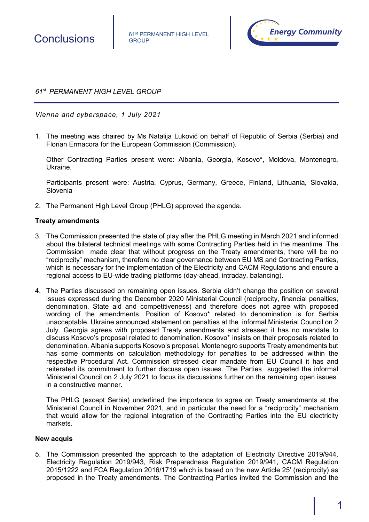

Conclusions **61st PERMANENT HIGH LEVEL GROUP** 



*61st PERMANENT HIGH LEVEL GROUP*

*Vienna and cyberspace, 1 July 2021*

1. The meeting was chaired by Ms Natalija Luković on behalf of Republic of Serbia (Serbia) and Florian Ermacora for the European Commission (Commission).

Other Contracting Parties present were: Albania, Georgia, Kosovo\*, Moldova, Montenegro, Ukraine.

Participants present were: Austria, Cyprus, Germany, Greece, Finland, Lithuania, Slovakia, Slovenia

2. The Permanent High Level Group (PHLG) approved the agenda.

# **Treaty amendments**

- 3. The Commission presented the state of play after the PHLG meeting in March 2021 and informed about the bilateral technical meetings with some Contracting Parties held in the meantime. The Commission made clear that without progress on the Treaty amendments, there will be no "reciprocity" mechanism, therefore no clear governance between EU MS and Contracting Parties, which is necessary for the implementation of the Electricity and CACM Regulations and ensure a regional access to EU-wide trading platforms (day-ahead, intraday, balancing).
- 4. The Parties discussed on remaining open issues. Serbia didn't change the position on several issues expressed during the December 2020 Ministerial Council (reciprocity, financial penalties, denomination, State aid and competitiveness) and therefore does not agree with proposed wording of the amendments. Position of Kosovo\* related to denomination is for Serbia unacceptable. Ukraine announced statement on penalties at the informal Ministerial Council on 2 July. Georgia agrees with proposed Treaty amendments and stressed it has no mandate to discuss Kosovo's proposal related to denomination. Kosovo\* insists on their proposals related to denomination. Albania supports Kosovo's proposal. Montenegro supports Treaty amendments but has some comments on calculation methodology for penalties to be addressed within the respective Procedural Act. Commission stressed clear mandate from EU Council it has and reiterated its commitment to further discuss open issues. The Parties suggested the informal Ministerial Council on 2 July 2021 to focus its discussions further on the remaining open issues. in a constructive manner.

The PHLG (except Serbia) underlined the importance to agree on Treaty amendments at the Ministerial Council in November 2021, and in particular the need for a "reciprocity" mechanism that would allow for the regional integration of the Contracting Parties into the EU electricity markets.

### **New acquis**

5. The Commission presented the approach to the adaptation of Electricity Directive 2019/944, Electricity Regulation 2019/943, Risk Preparedness Regulation 2019/941, CACM Regulation 2015/1222 and FCA Regulation 2016/1719 which is based on the new Article 25' (reciprocity) as proposed in the Treaty amendments. The Contracting Parties invited the Commission and the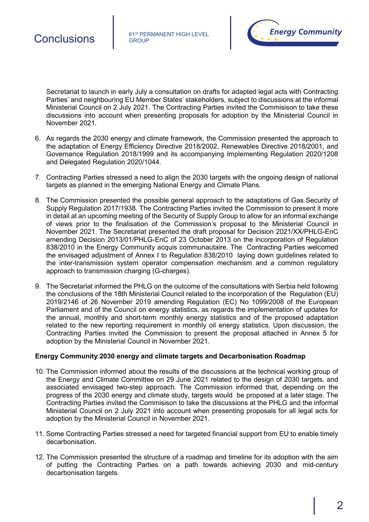

Secretariat to launch in early July a consultation on drafts for adapted legal acts with Contracting Parties' and neighbouring EU Member States' stakeholders, subject to discussions at the informal Ministerial Council on 2 July 2021. The Contracting Parties invited the Commisison to take these discussions into account when presenting proposals for adoption by the Ministerial Council in November 2021.

- 6. As regards the 2030 energy and climate framework, the Commission presented the approach to the adaptation of Energy Efficiency Directive 2018/2002, Renewables Directive 2018/2001, and Governance Regulation 2018/1999 and its accompanying Implementing Regulation 2020/1208 and Delegated Regulation 2020/1044.
- 7. Contracting Parties stressed a need to align the 2030 targets with the ongoing design of national targets as planned in the emerging National Energy and Climate Plans.
- 8. The Commission presented the possible general approach to the adaptations of Gas Security of Supply Regulation 2017/1938. The Contracting Parties invited the Commission to present it more in detail at an upcoming meeting of the Security of Supply Group to allow for an informal exchange of views prior to the finalisation of the Commission's proposal to the Ministerial Council in November 2021. The Secretariat presented the draft proposal for Decision 2021/XX/PHLG-EnC amending Decision 2013/01/PHLG-EnC of 23 October 2013 on the incorporation of Regulation 838/2010 in the Energy Community acquis communautaire. The Contracting Parties welcomed the envisaged adjustment of Annex I to Regulation 838/2010 laying down guidelines related to the inter-transmission system operator compensation mechanism and a common regulatory approach to transmission charging (G-charges).
- 9. The Secretariat informed the PHLG on the outcome of the consultations with Serbia held following the conclusions of the 18th Ministerial Council related to the incorporation of the Regulation (EU) 2019/2146 of 26 November 2019 amending Regulation (EC) No 1099/2008 of the European Parliament and of the Council on energy statistics, as regards the implementation of updates for the annual, monthly and short-term monthly energy statistics and of the proposed adaptation related to the new reporting requirement in monthly oil energy statistics. Upon discussion, the Contracting Parties invited the Commission to present the proposal attached in Annex 5 for adoption by the Ministerial Council in November 2021.

# **Energy Community 2030 energy and climate targets and Decarbonisation Roadmap**

- 10. The Commission informed about the results of the discussions at the technical working group of the Energy and Climate Committee on 29 June 2021 related to the design of 2030 targets, and associated envisaged two-step approach. The Commission informed that, depending on the progress of the 2030 energy and climate study, targets would be proposed at a later stage. The Contracting Parties invited the Commisison to take the discussions at the PHLG and the informal Ministerial Council on 2 July 2021 into account when presenting proposals for all legal acts for adoption by the Ministerial Council in November 2021.
- 11. Some Contracting Parties stressed a need for targeted financial support from EU to enable timely decarbonisation.
- 12. The Commission presented the structure of a roadmap and timeline for its adoption with the aim of putting the Contracting Parties on a path towards achieving 2030 and mid-century decarbonisation targets.